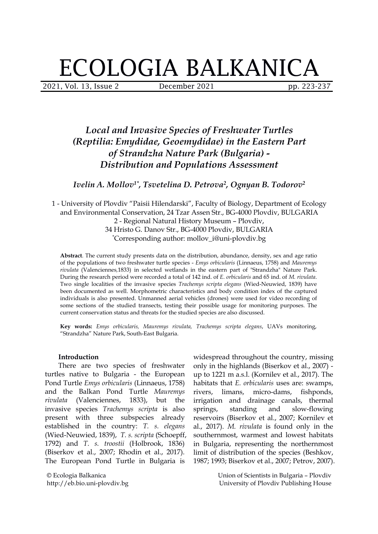# ECOLOGIA BALKANICA

2021, Vol. 13, Issue 2 December 2021 pp. 223-237

# *Local and Invasive Species of Freshwater Turtles (Reptilia: Emydidae, Geoemydidae) in the Eastern Part of Strandzha Nature Park (Bulgaria) - Distribution and Populations Assessment*

*Ivelin A. Mollov 1\* , Tsvetelina D. Petrova 2 , Ognyan B. Todorov 2*

1 - University of Plovdiv "Paisii Hilendarski", Faculty of Biology, Department of Ecology and Environmental Conservation, 24 Tzar Assen Str., BG-4000 Plovdiv, BULGARIA 2 - Regional Natural History Museum – Plovdiv, 34 Hristo G. Danov Str., BG-4000 Plovdiv, BULGARIA \*Corresponding author: mollov\_i@uni-plovdiv.bg

**Abstract**. The current study presents data on the distribution, abundance, density, sex and age ratio of the populations of two freshwater turtle species - *Emys orbicularis* (Linnaeus, 1758) and *Mauremys rivulata* (Valenciennes*,*1833) in selected wetlands in theeastern part of "Strandzha" Nature Park. During the research period wererecorded a total of 142 ind. of*E. orbicularis* and 65 ind. of *M. rivulata*. Two single localities of the invasive species *Trachemys scripta elegans* (Wied-Neuwied, 1839) have been documented as well. Morphometric characteristics and body condition index of the captured individuals is also presented. Unmanned aerial vehicles (drones) were used for video recording of some sections of the studied transects, testing their possible usage for monitoring purposes. The current conservation status and threats for the studied species are also discussed.

**Key words:** *Emys orbicularis, Mauremys rivulata, Trachemys scripta elegans*, UAVs monitoring, "Strandzha" Nature Park, South-East Bulgaria.

#### **Introduction**

There are two species of freshwater turtles native to Bulgaria - the European Pond Turtle *Emys orbicularis* (Linnaeus, 1758) and the Balkan Pond Turtle *Mauremys* invasive species *Trachemys scripta* is also present with three subspecies already established in the country: *T. s. elegans* (Wied-Neuwied, 1839), *T. s. scripta* (Schoepff, 1792) and *T. s. troostii* (Holbrook, 1836) (Biserkov et al., 2007; Rhodin et al., 2017). The European Pond Turtle in Bulgaria is

© Ecologia Balkanica http://eb.bio.uni-plovdiv.bg

*rivulata* (Valenciennes, 1833), but the irrigation and drainage canals, thermal widespread throughout the country, missing only in the highlands (Biserkov et al., 2007) up to 1221 m a.s.l. (Kornilev et al., 2017). The habitats that *E.orbicularis* uses are: swamps, micro-dams, fishponds, and slow-flowing reservoirs (Biserkov et al., 2007; Kornilev et al., 2017). *M. rivulata* is found only in the southernmost, warmest and lowest habitats in Bulgaria, representing the northernmost limit of distribution of the species (Beshkov, 1987; 1993; Biserkov et al., 2007; Petrov, 2007).

> Union of Scientists in Bulgaria – Plovdiv University of Plovdiv Publishing House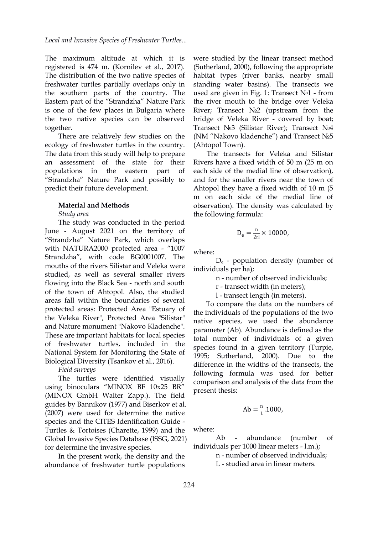The maximum altitude at which it is registered is 474 m. (Kornilev et al., 2017). The distribution of the two native species of freshwater turtles partially overlaps only in the southern parts of the country. The Eastern part of the "Strandzha" Nature Park is one of the few places in Bulgaria where the two native species can be observed together.

There are relatively few studies on the ecology of freshwater turtles in the country. The data from this study will help to prepare an assessment of the state for their populations in the eastern part of "Strandzha" Nature Park and possibly to predict their future development.

#### **Material and Methods**

#### *Study area*

The study was conducted in the period June - August 2021 on the territory of "Strandzha" Nature Park, which overlaps with NATURA2000 protected area - "1007 Strandzha", with code BG0001007. The mouths of the rivers Silistar and Veleka were studied, as well as several smaller rivers flowing into the Black Sea - north and south of the town of Ahtopol. Also, the studied areas fall within the boundaries of several protected areas: Protected Area "Estuary of the Veleka River", Protected Area "Silistar" and Nature monument "Nakovo Kladenche".<br>These are important habitats for local species of freshwater turtles, included in the National System for Monitoring the State of 1995; Sutherland, Biological Diversity (Tsankov et al., 2016).

#### *Field surveys*

The turtles were identified visually using binoculars "MINOX BF 10x25 BR" (MINOX GmbH Walter Zapp.). The field guides by Bannikov (1977) and Biserkov et al. (2007) were used for determine the native species and the CITES Identification Guide - Turtles & Tortoises (Charette, 1999) and the Global Invasive Species Database (ISSG, 2021) for determine the invasive species.

In the present work, the density and the abundance of freshwater turtle populations

were studied by the linear transect method (Sutherland, 2000), following the appropriate habitat types (river banks, nearby small standing water basins). The transects we used are given in Fig. 1: Transect №1 - from the river mouth to the bridge over Veleka River; Transect №2 (upstream from the bridge of Veleka River - covered by boat; Transect №3 (Silistar River); Transect №4 (NM "Nakovo kladenche") and Transect №5 (Ahtopol Town).

The transects for Veleka and Silistar Rivers have a fixed width of 50 m (25 m on each side of the medial line of observation), and for the smaller rivers near the town of Ahtopol they have a fixed width of 10 m (5 m on each side of the medial line of observation). The density was calculated by the following formula:

$$
D_e = \frac{n}{2r} \times 10000,
$$

where:

D<sup>e</sup> - population density (number of individuals per ha);

n - number of observed individuals;

r - transect width (in meters);

l - transect length (in meters).

To compare the data on the numbers of the individuals of the populations of the two native species, we used the abundance parameter (Ab). Abundance is defined as the total number of individuals of a given species found in a given territory (Turpie, 2000). Due to the difference in the widths of the transects, the following formula was used for better comparison and analysis of the data from the present thesis:

$$
Ab = \frac{n}{L} \cdot 1000,
$$

where:

abundance (number of individuals per 1000 linear meters - l.m.);

n - number of observed individuals;

L - studied area in linear meters.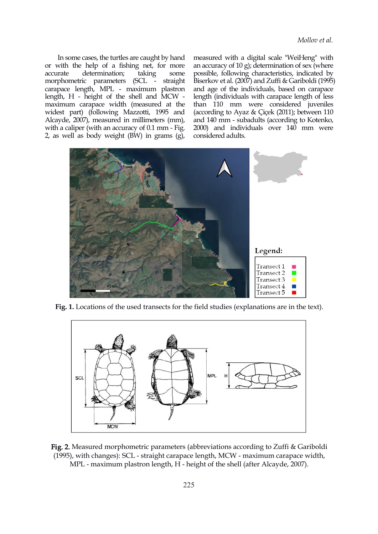In some cases, the turtles are caught by hand or with the help of a fishing net, for more morphometric parameters (SCL - straight carapace length, MPL - maximum plastron length, H - height of the shell and MCW maximum carapace width (measured at the widest part) (following Mazzotti, 1995 and Alcayde, 2007), measured in millimeters (mm), with a caliper (with an accuracy of 0.1 mm - Fig. 2, as well as body weight (BW) in grams(g),

accurate determination; taking some possible, following characteristics, indicated by measured with a digital scale "WeiHeng" with an accuracy of 10 g); determination of sex (where Biserkov et al. (2007) and Zuffi & Gariboldi (1995) and age of the individuals, based on carapace length (individuals with carapace length of less than 110 mm were considered juveniles (according to Ayaz & Çiçek (2011); between 110 and 140 mm - subadults (according to Kotenko, 2000) and individuals over 140 mm were considered adults.



**Fig. 1.** Locations of the used transects for the field studies (explanations are in the text).



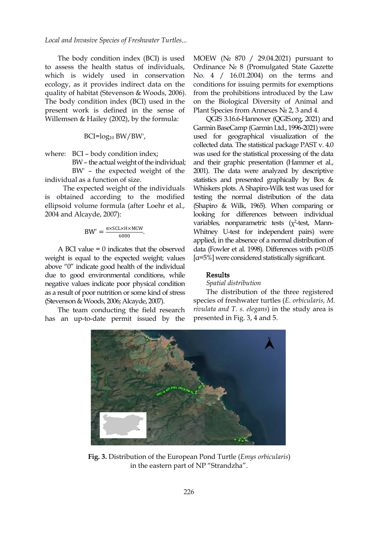*Local and Invasive Species of Freshwater Turtles...*

The body condition index (BCI) is used to assess the health status of individuals, which is widely used in conservation ecology, as it provides indirect data on the quality of habitat (Stevenson & Woods, 2006). The body condition index (BCI) used in the present work is defined in the sense of Willemsen & Hailey (2002), by the formula:

BCI=log<sup>10</sup> BW/BW',

where: BCI – body condition index;

BW' – the expected weight of the individual as a function of size.

The expected weight of the individuals is obtained according to the modified ellipsoid volume formula (after Loehr et al., 2004 and Alcayde, 2007):

$$
BW' = \frac{\pi \times SCL \times H \times MCW}{6000}
$$

A BCI value  $= 0$  indicates that the observed weight is equal to the expected weight; values above "0" indicate good health of the individual due to good environmental conditions, while negative values indicate poor physical condition as a result of poor nutrition or some kind of stress (Stevenson & Woods, 2006; Alcayde, 2007).

The team conducting the field research has an up-to-date permit issued by the

MOEW (№ 870 / 29.04.2021) pursuant to Ordinance № 8 (Promulgated State Gazette No. 4 / 16.01.2004) on the terms and conditions for issuing permits for exemptions from the prohibitions introduced by the Law on the Biological Diversity of Animal and Plant Species from Annexes № 2, 3 and 4.

BW - the actual weight of the individual; and their graphic presentation (Hammer et al.,  $\frac{\pi \times \text{SCL} \times \text{H} \times \text{MCW}}{6000}$ . Whitney U-test for independent pairs) were QGIS 3.16.6-Hannover (QGIS.org, 2021) and Garmin BaseCamp (Garmin Ltd., 1996-2021) were used for geographical visualization of the collected data. The statistical package PAST v. 4.0 was used for the statistical processing of the data 2001). The data were analyzed by descriptive statistics and presented graphically by Box & Whiskers plots. A Shapiro-Wilk test was used for testing the normal distribution of the data (Shapiro & Wilk, 1965). When comparing or looking for differences between individual variables, nonparametric tests  $(\chi^2$ -test, Mannapplied, in the absence of a normal distribution of data (Fowler et al. 1998). Differences with p<0.05 [α=5%] were considered statistically significant.

# Results

## *Spatial distribution*

The distribution of the three registered species of freshwater turtles (*E. orbicularis, M. rivulata and T. s. elegans*) in the study area is presented in Fig. 3, 4 and 5.



**Fig. 3.** Distribution of the European Pond Turtle (*Emys orbicularis*) in the eastern part of NP "Strandzha".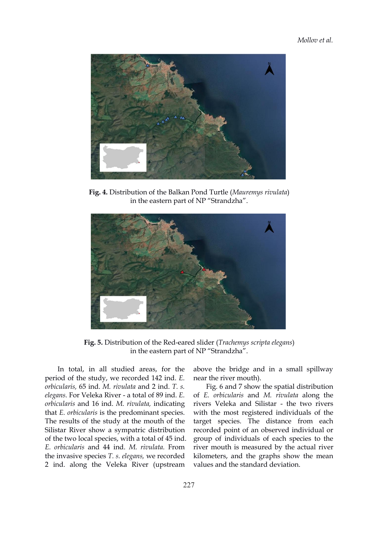

**Fig. 4.** Distribution of the Balkan Pond Turtle (*Mauremys rivulata*) in the eastern part of NP "Strandzha".



**Fig. 5.** Distribution of the Red-eared slider (*Trachemys scripta elegans*) in the eastern part of NP "Strandzha".

In total, in all studied areas, for the period of the study, we recorded 142 ind. *E. orbicularis,* 65 ind. *M. rivulata* and 2 ind. *T. s. elegans.* For Veleka River - a total of 89 ind. *E. orbicularis* and 16 ind. *M. rivulata,* indicating that *E. orbicularis* is the predominant species. The results of the study at the mouth of the Silistar River show a sympatric distribution of the two local species, with a total of 45 ind. *E. orbicularis* and 44 ind. *M. rivulata.* From the invasive species *T. s. elegans,* we recorded 2 ind. along the Veleka River (upstream

above the bridge and in a small spillway near the river mouth).

Fig. 6 and 7 show the spatial distribution of *E. orbicularis* and *M. rivulata* along the rivers Veleka and Silistar - the two rivers with the most registered individuals of the target species. The distance from each recorded point of an observed individual or group of individuals of each species to the river mouth is measured by the actual river kilometers, and the graphs show the mean values and the standard deviation.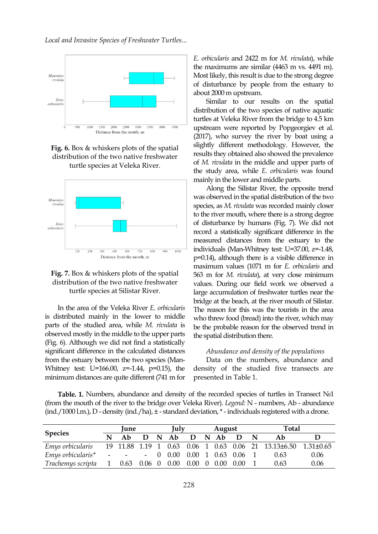







In the area of the Veleka River *E. orbicularis* is distributed mainly in the lower to middle parts of the studied area, while *M. rivulata* is observed mostly in the middle to the upper parts (Fig. 6). Although we did not find a statistically significant difference in the calculated distances from the estuary between the two species (Man- Whitney test: U=166.00, z=-1.44, p=0.15), the minimum distances are quite different (741 m for

*E. orbicularis* and 2422 m for *M. rivulata*), while the maximums are similar (4463 m vs. 4491 m). Most likely, this result is due to the strong degree of disturbance by people from the estuary to about 2000 m upstream.

Similar to our results on the spatial distribution of the two species of native aquatic turtles at Veleka River from the bridge to 4.5 km upstream were reported by Popgeorgiev et al. (2017), who survey the river by boat using a slightly different methodology. However, the results they obtained also showed the prevalence of *M. rivulata* in the middle and upper parts of the study area, while *E. orbicularis* was found mainly in the lower and middle parts.

Along the Silistar River, the opposite trend was observed in the spatial distribution of the two species, as *M. rivulata* was recorded mainly closer to the river mouth, where there is a strong degree of disturbance by humans (Fig. 7). We did not record a statistically significant difference in the measured distances from the estuary to the individuals (Man-Whitney test: U=37.00, z=-1.48, p=0.14), although there is a visible difference in maximum values (1071 m for *E. orbicularis* and 563 m for *M. rivulata*), at very close minimum values. During our field work we observed a large accumulation of freshwater turtles near the bridge at the beach, at the river mouth of Silistar. The reason for this was the tourists in the area who threw food (bread) into the river, which may be the probable reason for the observed trend in the spatial distribution there.

#### *Abundance and density of the populations*

Data on the numbers, abundance and density of the studied five transects are presented in Table 1.

**Table. 1.** Numbers, abundance and density of the recorded species of turtles in Transect №1 (from the mouth of the river to the bridge over Veleka River). *Legend:* N - numbers, Ab - abundance (ind./1000 l.m.), D - density (ind./ha), ± - standard deviation,\*- individuals registered with a drone.

| <b>Species</b>                                                                 |   | <b>June</b>          |  | July | August |  |  | Total |      |      |  |
|--------------------------------------------------------------------------------|---|----------------------|--|------|--------|--|--|-------|------|------|--|
|                                                                                | N | Ab D N Ab D N Ab D N |  |      |        |  |  |       | Ab   |      |  |
| Emys orbicularis 19 11.88 1.19 1 0.63 0.06 1 0.63 0.06 21 13.13±6.50 1.31±0.65 |   |                      |  |      |        |  |  |       |      |      |  |
| Emys orbicularis* - - - 0 0.00 0.00 1 0.63 0.06 1                              |   |                      |  |      |        |  |  |       | 0.63 | 0.06 |  |
| Trachemys scripta 1 0.63 0.06 0 0.00 0.00 0 0.00 0.00                          |   |                      |  |      |        |  |  |       | 0.63 | 0.06 |  |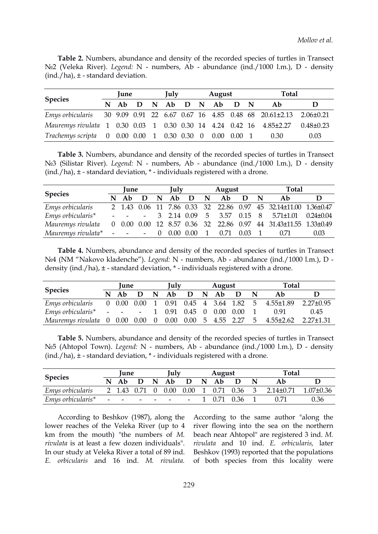**Table 2.** Numbers, abundance and density of the recorded species of turtles in Transect №2 (Veleka River). *Legend:* N - numbers, Ab - abundance (ind./1000 l.m.), D - density  $(ind./ha), \pm$  - standard deviation.

| <b>Species</b>                                                                  | <b>lune</b> | <b>Iulv</b> |  |  | August |                        |  | Total |      |      |
|---------------------------------------------------------------------------------|-------------|-------------|--|--|--------|------------------------|--|-------|------|------|
|                                                                                 |             |             |  |  |        | N Ab D N Ab D N Ab D N |  |       | Ab   |      |
| Emys orbicularis 30 9.09 0.91 22 6.67 0.67 16 4.85 0.48 68 20.61±2.13 2.06±0.21 |             |             |  |  |        |                        |  |       |      |      |
| Mauremys rivulata 1 0.30 0.03 1 0.30 0.30 14 4.24 0.42 16 4.85±2.27 0.48±0.23   |             |             |  |  |        |                        |  |       |      |      |
| Trachemys scripta 0 0.00 0.00 1 0.30 0.30 0 0.00 0.00 1                         |             |             |  |  |        |                        |  |       | 0.30 | 0.03 |

**Table 3.** Numbers, abundance and density of the recorded species of turtles in Transect №3 (Silistar River). *Legend:* N - numbers, Ab - abundance (ind./1000 l.m.), D - density  $(ind./ha), \pm$  - standard deviation,  $*$  - individuals registered with a drone.

| <b>Species</b>                                                                    | <b>lune</b> |  |  | July |  |  | August                               |  |  | <b>Total</b> |      |  |
|-----------------------------------------------------------------------------------|-------------|--|--|------|--|--|--------------------------------------|--|--|--------------|------|--|
|                                                                                   |             |  |  |      |  |  | $N$ Ab $D$ $N$ Ab $D$ $N$ Ab $D$ $N$ |  |  | Ab           |      |  |
| Emys orbicularis 2 1.43 0.06 11 7.86 0.33 32 22.86 0.97 45 32.14±11.00 1.36±0.47  |             |  |  |      |  |  |                                      |  |  |              |      |  |
| Emys orbicularis* - - - 3 2.14 0.09 5 3.57 0.15 8 5.71±1.01 0.24±0.04             |             |  |  |      |  |  |                                      |  |  |              |      |  |
| Mauremys rivulata 0 0.00 0.00 12 8.57 0.36 32 22.86 0.97 44 31.43±11.55 1.33±0.49 |             |  |  |      |  |  |                                      |  |  |              |      |  |
| Mauremys rivulata* - - - 0 0.00 0.00 1 0.71 0.03 1 0.71                           |             |  |  |      |  |  |                                      |  |  |              | 0.03 |  |

**Table 4.** Numbers, abundance and density of the recorded species of turtles in Transect №4 (NM "Nakovo kladenche"). *Legend:* N - numbers, Ab - abundance (ind./1000 l.m.), D density (ind./ha), ± - standard deviation, \* - individuals registered with a drone.

| <b>Species</b>                                                              | <b>June</b> |  | July |  |  | August |                                      |  | Total |      |  |  |
|-----------------------------------------------------------------------------|-------------|--|------|--|--|--------|--------------------------------------|--|-------|------|--|--|
|                                                                             |             |  |      |  |  |        | $N$ Ab $D$ $N$ Ab $D$ $N$ Ab $D$ $N$ |  | - Ab  |      |  |  |
| Emys orbicularis 0 0.00 0.00 1 0.91 0.45 4 3.64 1.82 5 4.55±1.89 2.27±0.95  |             |  |      |  |  |        |                                      |  |       |      |  |  |
| Emys orbicularis* - - - 1 0.91 0.45 0 0.00 0.00 1 0.91                      |             |  |      |  |  |        |                                      |  |       | 0.45 |  |  |
| Mauremys rivulata 0 0.00 0.00 0 0.00 0.00 5 4.55 2.27 5 4.55±2.62 2.27±1.31 |             |  |      |  |  |        |                                      |  |       |      |  |  |

**Table 5.** Numbers, abundance and density of the recorded species of turtles in Transect №5 (Ahtopol Town). *Legend:* N - numbers, Ab - abundance (ind./1000 l.m.), D - density (ind./ha), ± - standard deviation, \* - individuals registered with a drone.

| <b>Species</b>    |   | <b>lune</b> |   |             | <b>Iuly</b>                             |                           |             | August |          |                 |                      |
|-------------------|---|-------------|---|-------------|-----------------------------------------|---------------------------|-------------|--------|----------|-----------------|----------------------|
|                   | N | Ab          | D | $\mathbf N$ | Ab                                      | D                         | $\mathbf N$ | Ab     | D        |                 | <b>Total</b><br>0.36 |
| Emys orbicularis  |   |             |   |             | 2 1.43 0.71 0 0.00                      | $0.00 \quad 1 \quad 0.71$ |             |        | $0.36$ 3 | $2.14 \pm 0.71$ | $1.07 \pm 0.36$      |
| Emys orbicularis* |   |             |   |             | والمستناد والمستنقي والمستنقر والمستنقر |                           |             | 0.71   | 0.36     |                 |                      |

lower reaches of the Veleka River (up to 4 km from the mouth) "the numbers of *M. rivulata* is at least a few dozen individuals". In our study at Veleka River a total of 89 ind.

According to Beshkov (1987), along the According to the same author "along the According to Beshkov (1987), along the According to the same author "along the lower reaches of the Veleka River (up to 4 river flowing into the sea on the northern km from the mouth) "the numbers of *M.* beach near Ahtopo river flowing into the sea on the northern beach near Ahtopol" are registered 3 ind. *M. rivulata* and 10 ind. *E. orbicularis,* later Beshkov (1993) reported that the populations of both species from this locality were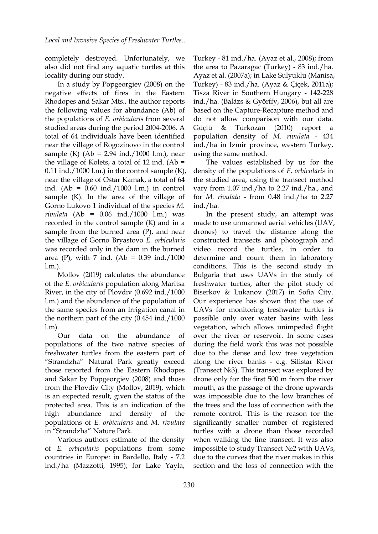completely destroyed. Unfortunately, we also did not find any aquatic turtles at this locality during our study.

In a study by Popgeorgiev (2008) on the negative effects of fires in the Eastern Rhodopes and Sakar Mts., the author reports the following values for abundance (Ab) of the populations of *E. orbicularis* from several studied areas during the period 2004-2006. A Güçlü & Türkozan (2010) total of 64 individuals have been identified near the village of Rogozinovo in the control sample (K)  $(Ab = 2.94 \text{ ind.}/1000 \text{ l.m.})$ , near the village of Kolets, a total of 12 ind.  $(Ab =$  $0.11$  ind./1000 l.m.) in the control sample  $(K)$ , near the village of Ostar Kamak, a total of 64 ind. (Ab = 0.60 ind./1000 l.m.) in control sample  $(K)$ . In the area of the village of Gorno Lukovo 1individual of the species *M. rivulata* (Ab = 0.06 ind./1000 l.m.) was recorded in the control sample (K) and in a sample from the burned area (P), and near the village of Gorno Bryastovo *E. orbicularis* was recorded only in the dam in the burned area (P), with 7 ind. (Ab =  $0.39$  ind./1000

l.m.).<br>Mollov (2019) calculates the abundance of the *E. orbicularis* population along Maritsa River, in the city of Plovdiv (0.692 ind./1000 l.m.) and the abundance of the population of the same species from an irrigation canal in the northern part of the city (0.454 ind./1000

l.m).<br>Our data on the abundance of populations of the two native species of freshwater turtles from the eastern part of "Strandzha" Natural Park greatly exceed those reported from the Eastern Rhodopes and Sakar by Popgeorgiev (2008) and those from the Plovdiv City (Mollov, 2019), which is an expected result, given the status of the protected area. This is an indication of the high abundance and density of the populations of *E. orbicularis* and *M. rivulata* in "Strandzha" Nature Park.

Various authors estimate of the density of *E. orbicularis* populations from some countries in Europe: in Bardello, Italy - 7.2 ind./ha (Mazzotti, 1995); for Lake Yayla, Turkey - 81 ind./ha.(Ayaz et al., 2008); from the area to Pazaragac (Turkey) - 83 ind./ha. Ayaz et al. (2007a); in Lake Sulyuklu (Manisa, Turkey) - 83 ind./ha. (Ayaz & Çiçek, 2011a); Tisza River in Southern Hungary - 142-228 ind./ha. (Balázs & Györffy, 2006), but all are based on the Capture-Recapture method and do not allow comparison with our data. Türkozan (2010) report population density of *M. rivulata* - 434 ind./ha in Izmir province, western Turkey, using the same method.

The values established by us for the density of the populations of *E. orbicularis* in the studied area, using the transect method vary from 1.07 ind./ha to 2.27 ind./ha., and for *M. rivulata* - from 0.48 ind./ha to 2.27 ind./ha.

In the present study, an attempt was made to use unmanned aerial vehicles (UAV, drones) to travel the distance along the constructed transects and photograph and video record the turtles, in order to determine and count them in laboratory conditions. This is the second study in Bulgaria that uses UAVs in the study of freshwater turtles, after the pilot study of Biserkov & Lukanov (2017) in Sofia City. Our experience has shown that the use of UAVs for monitoring freshwater turtles is possible only over water basins with less vegetation, which allows unimpeded flight over the river or reservoir. In some cases during the field work this was not possible due to the dense and low tree vegetation along the river banks - e.g. Silistar River (Transect №3). This transect was explored by drone only for the first 500 m from the river mouth, as the passage of the drone upwards was impossible due to the low branches of the trees and the loss of connection with the remote control. This is the reason for the significantly smaller number of registered turtles with a drone than those recorded when walking the line transect. It was also impossible to study Transect №2 with UAVs, due to the curves that the river makes in this section and the loss of connection with the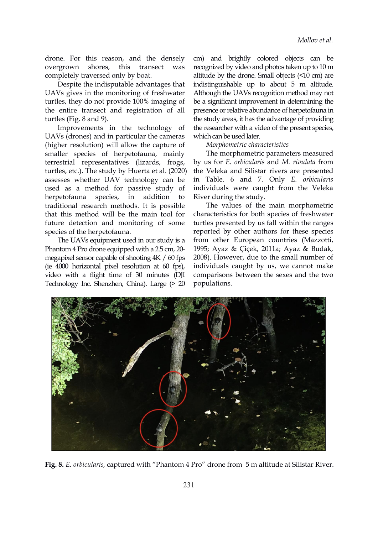drone. For this reason, and the densely completely traversed only by boat.

Despite the indisputable advantages that UAVs gives in the monitoring of freshwater turtles, they do not provide 100% imaging of the entire transect and registration of all turtles (Fig. 8 and 9).

Improvements in the technology of UAVs (drones) and in particular the cameras (higher resolution) will allow the capture of smaller species of herpetofauna, mainly terrestrial representatives (lizards, frogs, turtles, etc.). The study by Huerta et al.(2020) assesses whether UAV technology can be used as a method for passive study of herpetofauna species, in addition to River during the study. traditional research methods. It is possible that this method will be the main tool for future detection and monitoring of some species of the herpetofauna.

The UAVs equipment used in our study is a Phantom <sup>4</sup> Pro drone equipped with <sup>a</sup> 2.5 cm, 20-megapixel sensor capable of shooting 4K / <sup>60</sup> fps (ie 4000 horizontal pixel resolution at 60 fps), video with a flight time of 30 minutes (DJI Technology Inc. Shenzhen, China). Large (> 20

overgrown shores, this transect was recognized by video and photos taken up to 10 m cm) and brightly colored objects can be altitude by the drone. Small objects (<10 cm) are indistinguishable up to about 5 m altitude. Although the UAVs recognition method may not be a significant improvement in determining the presence or relative abundance of herpetofauna in the study areas, it has the advantage of providing the researcher with a video of the present species, which can be used later.

#### *Morphometric characteristics*

The morphometric parameters measured by us for*E. orbicularis* and *M. rivulata* from the Veleka and Silistar rivers are presented in Table. 6 and 7. Only *E. orbicularis* individuals were caught from the Veleka

The values of the main morphometric characteristics for both species of freshwater turtles presented by us fall within the ranges reported by other authors for these species from other European countries (Mazzotti, 1995; Ayaz & Çiçek, 2011a; Ayaz & Budak, 2008). However, due to the small number of individuals caught by us, we cannot make comparisons between the sexes and the two populations.



**Fig. 8.** *E. orbicularis,* captured with "Phantom 4 Pro" drone from 5 m altitude at Silistar River.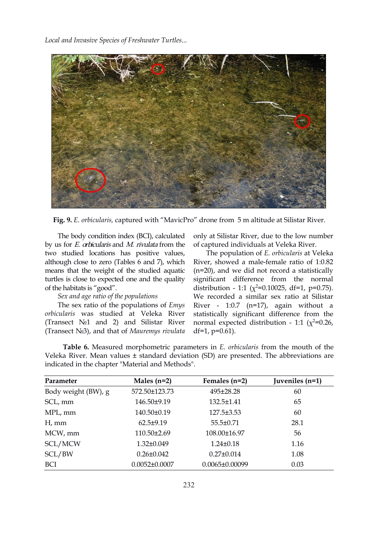*Local and Invasive Species of Freshwater Turtles...*



**Fig. 9.** *E. orbicularis,* captured with "MavicPro" drone from 5 m altitude at Silistar River.

The body condition index (BCI), calculated by us for E. orbicularis and M. rivulata from the two studied locations has positive values, although close to zero (Tables 6 and 7), which means that the weight of the studied aquatic turtles is close to expected one and the quality of the habitats is "good".

# *Sex and age ratio of the populations*

The sex ratio of the populations of *Emys orbicularis* was studied at Veleka River (Transect №1 and 2) and Silistar River (Transect №3), and that of *Mauremys rivulata*

only at Silistar River, due to the low number of captured individuals at Veleka River.

The population of *E. orbicularis* at Veleka River, showed a male-female ratio of 1:0.82 (n=20), and we did not record a statistically significant difference from the normal distribution - 1:1 ( $\chi^2$ =0.10025, df=1, p=0.75). We recorded a similar sex ratio at Silistar River - 1:0.7 (n=17), again without a statistically significant difference from the normal expected distribution - 1:1 ( $\chi^2$ =0.26, df=1,  $p=0.61$ ).

**Table 6.** Measured morphometric parameters in *E. orbicularis* from the mouth of the Veleka River. Mean values  $\pm$  standard deviation (SD) are presented. The abbreviations are indicated in the chapter "Material and Methods".

| Parameter           | Males $(n=2)$       | Females $(n=2)$      | Juveniles (n=1) |
|---------------------|---------------------|----------------------|-----------------|
| Body weight (BW), g | 572.50±123.73       | 495±28.28            | 60              |
| SCL, mm             | 146.50±9.19         | 132.5±1.41           | 65              |
| MPL, mm             | 140.50±0.19         | $127.5 \pm 3.53$     | 60              |
| $H$ , mm            | $62.5 \pm 9.19$     | $55.5 \pm 0.71$      | 28.1            |
| MCW, mm             | $110.50 \pm 2.69$   | 108.00±16.97         | 56              |
| SCL/MCW             | $1.32 \pm 0.049$    | $1.24 \pm 0.18$      | 1.16            |
| SCL/BW              | $0.26 \pm 0.042$    | $0.27 \pm 0.014$     | 1.08            |
| <b>BCI</b>          | $0.0052 \pm 0.0007$ | $0.0065 \pm 0.00099$ | 0.03            |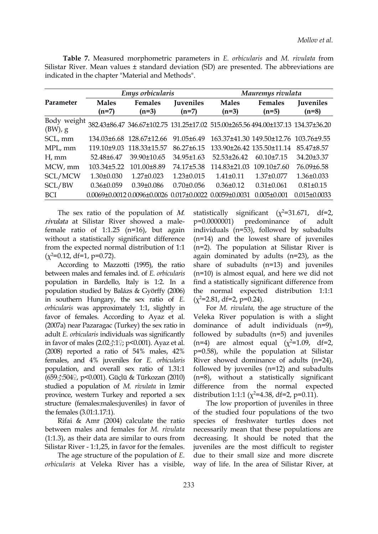**Table 7.** Measured morphometric parameters in *E. orbicularis* and *M. rivulata* from Silistar River. Mean values ± standard deviation (SD) are presented. The abbreviations are indicated in the chapter "Material and Methods".

|                           |                         | Emys orbicularis                                                                       |                             |                                       | Mauremys rivulata         |                             |  |  |  |  |  |  |
|---------------------------|-------------------------|----------------------------------------------------------------------------------------|-----------------------------|---------------------------------------|---------------------------|-----------------------------|--|--|--|--|--|--|
| Parameter                 | <b>Males</b><br>$(n=7)$ | Females<br>$(n=3)$                                                                     | <b>Juveniles</b><br>$(n=7)$ | <b>Males</b><br>$(n=3)$               | <b>Females</b><br>$(n=5)$ | <b>Juveniles</b><br>$(n=8)$ |  |  |  |  |  |  |
| Body weight<br>$(BW)$ , g |                         | 382.43±86.47 346.67±102.75 131.25±17.02 515.00±265.56 494.00±137.13 134.37±36.20       |                             |                                       |                           |                             |  |  |  |  |  |  |
| SCL, mm                   |                         | 134.03±6.68 128.67±12.66                                                               | 91.05±6.49                  | 163.37±41.30 149.50±12.76 103.76±9.55 |                           |                             |  |  |  |  |  |  |
| MPL, mm                   |                         | 119.10±9.03 118.33±15.57                                                               | $86.27 \pm 6.15$            | 133.90±26.42 135.50±11.14             |                           | 85.47±8.57                  |  |  |  |  |  |  |
| H, mm                     | 52.48±6.47              | 39.90±10.65                                                                            | 34.95±1.63                  | $52.53\pm26.42$                       | $60.10\pm7.15$            | 34.20±3.37                  |  |  |  |  |  |  |
| MCW, mm                   | 103.34±5.22             | 101.00±8.89                                                                            | 74.17±5.38                  | 114.83±21.03                          | $109.10\pm7.60$           | 76.09±6.58                  |  |  |  |  |  |  |
| SCL/MCW                   | $1.30 \pm 0.030$        | $1.27 \pm 0.023$                                                                       | $1.23 \pm 0.015$            | $1.41 \pm 0.11$                       | 1.37±0.077                | $1.36 \pm 0.033$            |  |  |  |  |  |  |
| SCL/BW                    | $0.36 \pm 0.059$        | $0.39 \pm 0.086$                                                                       | $0.70 \pm 0.056$            | $0.36 \pm 0.12$                       | $0.31 \pm 0.061$          | $0.81 \pm 0.15$             |  |  |  |  |  |  |
| <b>BCI</b>                |                         | $0.0069\pm0.0012$ $0.0096\pm0.0026$ $0.017\pm0.0022$ $0.0059\pm0.0031$ $0.005\pm0.001$ |                             |                                       |                           | $0.015 \pm 0.0033$          |  |  |  |  |  |  |

The sex ratio of the population of M. rivulata at Silistar River showed a male- p=0.0000001) female ratio of  $1:1.25$  (n=16), but again without a statistically significant difference from the expected normal distribution of 1:1  $(\chi^2=0.12, df=1, p=0.72)$ .

According to Mazzotti (1995), the ratio between males and females ind. of *E. orbicularis* population in Bardello, Italy is 1:2. In a population studied by Balázs & Györffy (2006) in southern Hungary, the sex ratio of *E. orbicularis* was approximately 1:1, slightly in favor of females. According to Ayaz et al. (2007a) near Pazaragac (Turkey) the sex ratio in adult *E. orbicularis* individuals was significantly in favor of males (2.02♂:1♀; p<0.001). Ayaz et al. (2008) reported a ratio of 54% males, 42% females, and 4% juveniles for *E.orbicularis* population, and overall sex ratio of 1.31:1 (659♂:504♀, p<0.001). Güçlü & Türkozan (2010) studied a population of *M. rivulata* in Izmir province, western Turkey and reported a sex structure (females:males:juveniles) in favor of the females (3.01:1.17:1).

Rifai & Amr (2004) calculate the ratio between males and females for *M. rivulata*  $(1:1.3)$ , as their data are similar to ours from Silistar River - 1:1,25, in favor for the females.

The age structure of the population of *E. orbicularis* at Veleka River has a visible,

statistically significant  $(x^2=31.671, df=2,$ predominance of adult individuals (n=53), followed by subadults (n=14) and the lowest share of juveniles (n=2). The population at Silistar River is again dominated by adults (n=23), as the share of subadults (n=13) and juveniles (n=10) is almost equal, and here we did not find a statistically significant difference from the normal expected distribution 1:1:1  $(x^2=2.81, df=2, p=0.24).$ 

For *M. rivulata,* the age structure of the Veleka River population is with a slight dominance of adult individuals (n=9), followed by subadults (n=5) and juveniles (n=4) are almost equal  $(x^2=1.09, df=2,$ p=0.58), while the population at Silistar River showed dominance of adults (n=24), followed by juveniles (n=12) and subadults (n=8), without a statistically significant difference from the normal expected distribution 1:1:1 ( $\chi^2$ =4.38, df=2, p=0.11).

The low proportion of juveniles in three of the studied four populations of the two species of freshwater turtles does not necessarily mean that these populations are decreasing. It should be noted that the juveniles are the most difficult to register due to their small size and more discrete way of life. In the area of Silistar River, at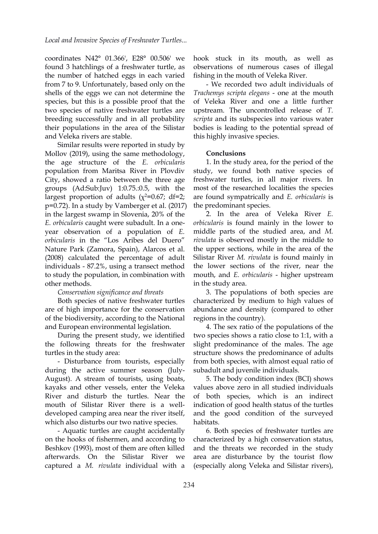coordinates N42° 01.366', E28° 00.506' we found 3 hatchlings of a freshwater turtle, as the number of hatched eggs in each varied from 7 to 9. Unfortunately, based only on the shells of the eggs we can not determine the species, but this is a possible proof that the two species of native freshwater turtles are breeding successfully and in all probability their populations in the area of the Silistar and Veleka rivers are stable.

Similar results were reported in study by Mollov (2019), using the same methodology, the age structure of the *E. orbicularis* population from Maritsa River in Plovdiv City, showed a ratio between the three age groups (Ad:Sub:Juv) 1:0.75.:0.5, with the largest proportion of adults  $(x^2=0.67; df=2;$  are four p=0.72). In a study by Vamberger et al. (2017) in the largest swamp in Slovenia, 20% of the *E. orbicularis* caught were subadult. In a one year observation of a population of *E.*<br>*orbicularis* in the "Los Aribes del Duero" Nature Park (Zamora, Spain), Alarcos et al.(2008) calculated the percentage of adult individuals - 87.2%, using a transect method to study the population, in combination with other methods.

## *Conservation significance and threats*

Both species of native freshwater turtles are of high importance for the conservation of the biodiversity, according to the National and European environmental legislation.

During the present study, we identified the following threats for the freshwater turtles in the study area:

- Disturbance from tourists, especially during the active summer season (July- August). A stream of tourists, using boats, kayaks and other vessels, enter the Veleka River and disturb the turtles. Near the mouth of Silistar River there is a well developed camping area near the river itself, which also disturbs our two native species.

- Aquatic turtles are caught accidentally on the hooks of fishermen, and according to Beshkov (1993), most of them are often killed afterwards. On the Silistar River we captured a *M. rivulata* individual with a

hook stuck in its mouth, as well as observations of numerous cases of illegal fishing in the mouth of Veleka River.

- We recorded two adult individuals of *Trachemys scripta elegans* - one at the mouth of Veleka River and one a little further upstream. The uncontrolled release of*T. scripta* and its subspecies into various water bodies is leading to the potential spread of this highly invasive species.

#### **Conclusions**

1. In the study area, for the period of the study, we found both native species of freshwater turtles, in all major rivers. In most of the researched localities the species are found sympatrically and *E. orbicularis* is the predominant species.

2. In the area of Veleka River *E. orbicularis* is found mainly in the lower to middle parts of the studied area, and *M. rivulata* is observed mostly in the middle to the upper sections, while in the area of the Silistar River *M. rivulata* is found mainly in the lower sections of the river, near the mouth, and *E. orbicularis* - higher upstream in the study area.

3. The populations of both species are characterized by medium to high values of abundance and density (compared to other regions in the country).

4. The sex ratio of the populations of the two species shows a ratio close to 1:1, with a slight predominance of the males. The age structure shows the predominance of adults from both species, with almost equal ratio of subadult and juvenile individuals.

5. The body condition index (BCI) shows values above zero in all studied individuals of both species, which is an indirect indication of good health status of the turtles and the good condition of the surveyed habitats.

6. Both species of freshwater turtles are characterized by a high conservation status, and the threats we recorded in the study area are disturbance by the tourist flow (especially along Veleka and Silistar rivers),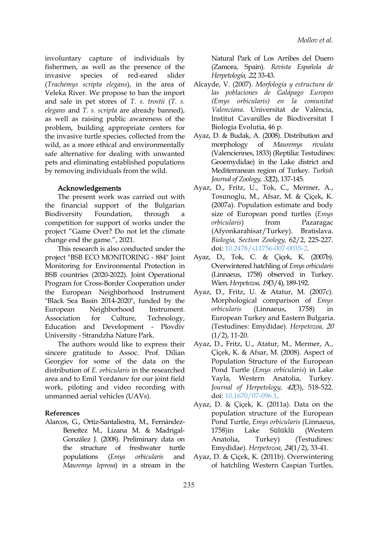involuntary capture of individuals by fishermen, as well as the presence of the invasive species of red-eared slider (*Trachemys scripta elegans*), in the area of Veleka River. We propose to ban the import and sale in pet stores of *T. s. trostii* (*T. s. elegans* and *T. s. scripta* are already banned), as well as raising public awareness of the problem, building appropriate centers for the invasive turtle species, collected from the wild, as a more ethical and environmentally morphology of safe alternative for dealing with unwanted pets and eliminating established populations by removing individuals from the wild.

#### Acknowledgements

The present work was carried out with the financial support of the Bulgarian Biodiversity Foundation, through a size of European pond turtles (*Emys* competition for support of works under the project "Game Over? Do not let the climate change end the game.", 2021.

This research is also conducted under the project "BSB ECO MONITORING - 884" Joint Monitoring for Environmental Protection in BSB countries (2020-2022). Joint Operational Program for Cross-Border Cooperation under the European Neighborhood Instrument "Black Sea Basin 2014-2020", funded by the European Neighborhood Instrument. Association for Culture, Technology, Education and Development - Plovdiv University - Strandzha Nature Park.

The authors would like to express their sincere gratitude to Assoc. Prof. Dilian Georgiev for some of the data on the distribution of *E. orbicularis* in the researched area and to Emil Yordanov for our joint field work, piloting and video recording with unmanned aerial vehicles (UAVs).

# **References**

Alarcos, G., Ortiz-Santaliestra, M., Fernández- Beneítez M., Lizana M. & Madrigal- González J. (2008). Preliminary data on the structure of freshwater turtle *Mauremys leprosa*) in a stream in the

Natural Park of Los Arribes del Duero (Zamora, Spain). *Revista Española de Herpetología,* 22, 33-43.

- Alcayde, V. (2007). *Morfología y estructura de las poblaciones de Galápago Europeo (Emys orbicularis) en la comunitat Valenciana.* Universitat de València, Institut Cavanilles de Biodiversitat I Biologia Evolutia, 46 p.
- Ayaz, D. & Budak, A. (2008). Distribution and morphology of *Mauremys rivulata* (Valenciennes, 1833) (Reptilia: Testudines: Geoemydidae) in the Lake district and Mediterranean region of Turkey. *Turkish Journal of Zoology,* 32(2), 137-145.
- Ayaz, D., Fritz, U., Tok, C., Mermer, A., Tosunoglu, M., Afsar, M. & Çiçek, K. (2007a). Population estimate and body *orbicularis*) from Pazaragac (Afyonkarahisar/Turkey). Bratislava. *Biologia, Section Zoology,* 62/2, 225-227. doi: [10.2478/s11756-007-0035-2.](https://doi.org/10.2478/s11756-007-0035-2)
- Ayaz, D., Tok, C. & Çiçek, K. (2007b). Overwintered hatchling of *Emys orbicularis* (Linnaeus, 1758) observed in Turkey. Wien. *Herpetozoa,* 19(3/4), 189-192.
- Ayaz, D., Fritz, U. & Atatur, M. (2007c). Morphological comparison of *Emys orbicularis* (Linnaeus, 1758) in European Turkey and Eastern Bulgaria. (Testudines: Emydidae). *Herpetozoa,* 20  $(1/2)$ , 11-20.
- Аyaz, D., Fritz, U., Atatur, M., Mermer, A., Çiçek, K. & Afsar, M. (2008). Aspect of Population Structure of the European Pond Turtle (*Emys orbicularis*) in Lake Yayla, Western Anatolia, Turkey. *Journal of Herpetology,* 42(3), 518-522. doi: [10.1670/07-096.1](https://doi.org/10.1670/07-096.1).
- Аyaz, D. & Çiçek, K. (2011a). Data on the population structure of the European Pond Turtle, *Emys orbicularis* (Linnaeus, Sülüklü (Western (Testudines: Emydidae). *Herpetozoa,* 24(1/2), 33-41.
- populations (*Emys orbicularis* and Аyaz, D. & Çiçek, K. (2011b). Overwintering of hatchling Western Caspian Turtles,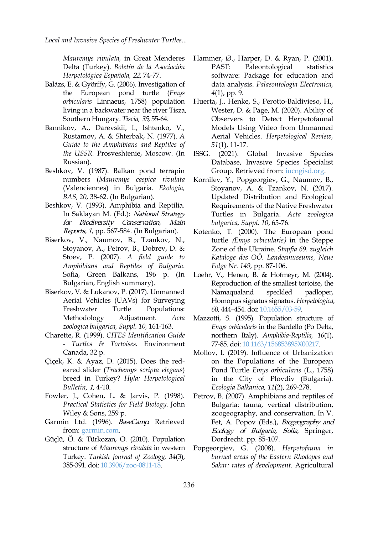*Local and Invasive Species of Freshwater Turtles...*

*Mauremys rivulata,* in Great Menderes Delta (Turkey). *Boletín de la Asociación Herpetológica Española,* 22, 74-77.

- Balázs, E. & Györffy, G. (2006). Investigation of the European pond turtle (*Emys orbicularis* Linnaeus, 1758) population living in a backwater near the river Tisza, Southern Hungary. *Tiscia,* 35, 55-64.
- Bannikov, A., Darevskii, I., Ishtenko, V., Rustamov, A. & Shterbak, N. (1977). *A Guide to the Amphibians and Reptiles of the USSR.* Prosveshtenie, Moscow. (In Russian).
- Beshkov, V. (1987). Balkan pond terrapin numbers (*Mauremys caspica rivulata* (Valenciennes) in Bulgaria. *Ekologia, BAS, 20,* 38-62. (In Bulgarian).
- Beshkov, V. (1993). Amphibia and Reptilia. In Saklayan M. (Ed.): National Strategy for Biodiversity Conservation, Main Reports, <sup>1</sup>, pp. 567-584. (In Bulgarian).
- Biserkov, V., Naumov, B., Tzankov, N., Stoyanov, A., Petrov, B., Dobrev, D. & Stoev, P. (2007). *A field guide to Amphibians and Reptiles of Bulgaria*. Sofia, Green Balkans, 196 p. (In Bulgarian, English summary).
- Biserkov, V. & Lukanov, P. (2017). Unmanned Namaqualand speckled Aerial Vehicles (UAVs) for Surveying Freshwater Turtle Populations: *zoologica bulgarica, Suppl. 10,* 161-163.
- Charette, R. (1999). *CITES Identification Guide - Turtles & Tortoises.* Environment Canada, 32 p.
- Çiçek, K. & Ayaz, D. (2015). Does the red eared slider (*Trachemys scripta elegans*) breed in Turkey? *Hyla: Herpetological Bulletin,* 1, 4-10.
- Fowler, J., Cohen, L. & Jarvis, P. (1998). *Practical Statistics for Field Biology.* John Wiley & Sons, 259 p.
- Garmin Ltd. (1996). BaseCamp. Retrieved from: [garmin.com.](https://www.garmin.com/en-US/software/basecamp/)
- Güçlü, Ö. & Türkozan, O. (2010). Population structure of *Mauremys rivulata* in western Turkey. *Turkish Journal of Zoology, 34*(3), 385-391. doi: [10.3906/zoo-0811-18](https://doi.org/10.3906/zoo-0811-18).
- Hammer, Ø., Harper, D. & Ryan, P. (2001). Paleontological statistics software: Package for education and data analysis. *Palaeontologia Electronica, 4*(1), pp. 9.
- Huerta, J., Henke, S., Perotto-Baldivieso, H., Wester, D. & Page, M. (2020). Ability of Observers to Detect Herpetofaunal Models Using Video from Unmanned Aerial Vehicles. *Herpetological Review, 51*(1), 11-17.
- (2021). Global Invasive Species Database, Invasive Species Specialist Group. Retrieved from: [iucngisd.org.](http://www.iucngisd.org/gisd/100_worst.php)
- Kornilev, Y., Popgeorgiev, G., Naumov, B., Stoyanov, A. & Tzankov, N. (2017). Updated Distribution and Ecological Requirements of the Native Freshwater Turtles in Bulgaria. *Acta zoologica bulgarica, Suppl. 10*, 65-76.
- Kotenko, T. (2000). The European pond turtle (*Emys orbicularis*) in the Steppe Zone of the Ukraine. *Stapfia 69. zugleich Kataloge des OÖ. Landesmuseums, Neue Folge Nr. 149,* pp. 87-106.
- Loehr, V., Henen, B. & Hofmeyr, M. (2004). Reproduction of the smallest tortoise, the Namaqualand speckled padloper, Homopus signatus signatus. *Herpetologica, 60,* 444–454. doi: [10.1655/03-59.](https://doi.org/10.1655/03-59)
- Methodology Adjustment. *Acta* Mazzotti, S. (1995). Population structure of *Emys orbicularis* in the Bardello (Po Delta, northern Italy). *Amphibia-Reptilia, 16*(1), 77-85. doi: [10.1163/156853895X00217.](https://doi.org/10.1163/156853895X00217)
	- Mollov, I. (2019). Influence of Urbanization on the Populations of the European Pond Turtle *Emys orbicularis* (L., 1758) in the City of Plovdiv (Bulgaria). *Ecologia Balkanica, 11*(2), 269-278.
	- Petrov, B. (2007). Amphibians and reptiles of Bulgaria: fauna, vertical distribution, zoogeography, and conservation. In V. Fet, A. Popov (Eds.), Biogeography and Ecology of Bulgaria, Sofia, Springer, Dordrecht. pp. 85-107.
	- Popgeorgiev, G. (2008). *Herpetofauna in burned areas of the Eastern Rhodopes and Sakar: rates of development.* Agricultural